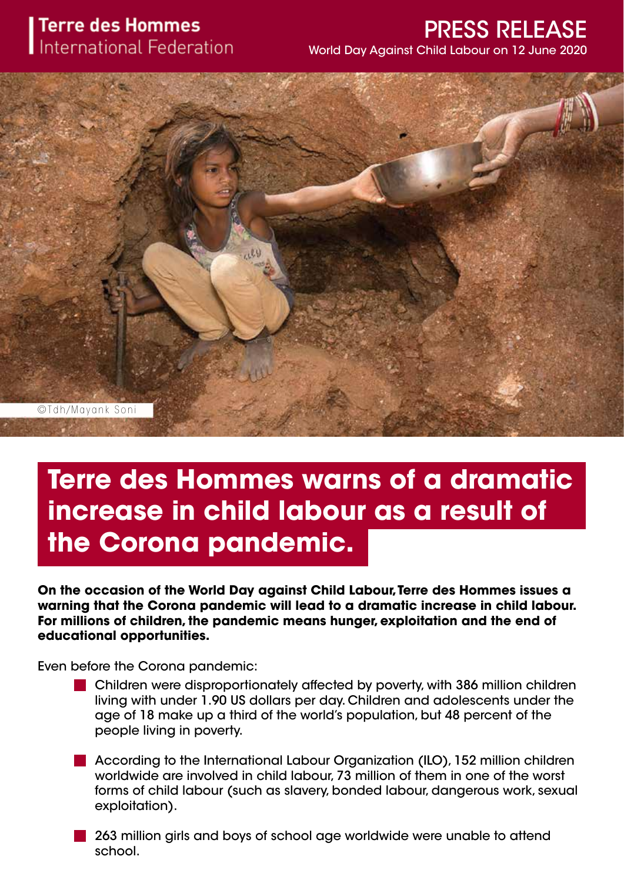## **Terre des Hommes International Federation**

# PRESS RELEASE

World Day Against Child Labour on 12 June 2020



# **Terre des Hommes warns of a dramatic increase in child labour as a result of the Corona pandemic.**

**On the occasion of the World Day against Child Labour, Terre des Hommes issues a warning that the Corona pandemic will lead to a dramatic increase in child labour. For millions of children, the pandemic means hunger, exploitation and the end of educational opportunities.**

Even before the Corona pandemic:

- Children were disproportionately affected by poverty, with 386 million children living with under 1.90 US dollars per day. Children and adolescents under the age of 18 make up a third of the world's population, but 48 percent of the people living in poverty.
- According to the International Labour Organization (ILO), 152 million children worldwide are involved in child labour, 73 million of them in one of the worst forms of child labour (such as slavery, bonded labour, dangerous work, sexual exploitation).
- 263 million girls and boys of school age worldwide were unable to attend school.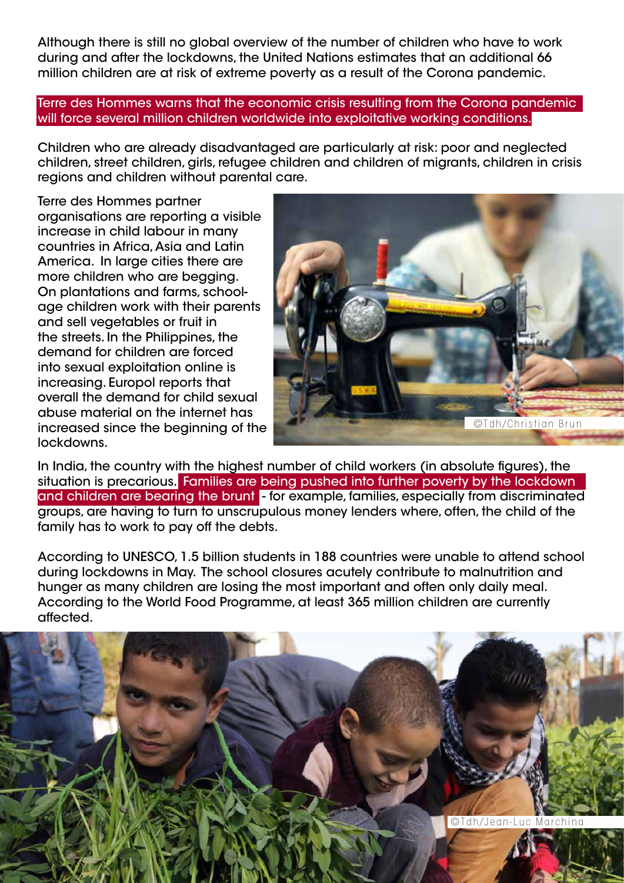Although there is still no global overview of the number of children who have to work during and after the lockdowns, the United Nations estimates that an additional 66 million children are at risk of extreme poverty as a result of the Corona pandemic.

Terre des Hommes warns that the economic crisis resulting from the Corona pandemic will force several million children worldwide into exploitative working conditions.

Children who are already disadvantaged are particularly at risk: poor and neglected children, street children, girls, refugee children and children of migrants, children in crisis regions and children without parental care.

Terre des Hommes partner organisations are reporting a visible increase in child labour in many countries in Africa, Asia and Latin America. In large cities there are more children who are begging. On plantations and farms, schoolage children work with their parents and sell vegetables or fruit in the streets. In the Philippines, the demand for children are forced into sexual exploitation online is increasing. Europol reports that overall the demand for child sexual abuse material on the internet has increased since the beginning of the lockdowns.



In India, the country with the highest number of child workers (in absolute figures), the situation is precarious. Families are being pushed into further poverty by the lockdown and children are bearing the brunt - for example, families, especially from discriminated groups, are having to turn to unscrupulous money lenders where, often, the child of the family has to work to pay off the debts.

According to UNESCO, 1.5 billion students in 188 countries were unable to attend school during lockdowns in May. The school closures acutely contribute to malnutrition and hunger as many children are losing the most important and often only daily meal. According to the World Food Programme, at least 365 million children are currently affected.